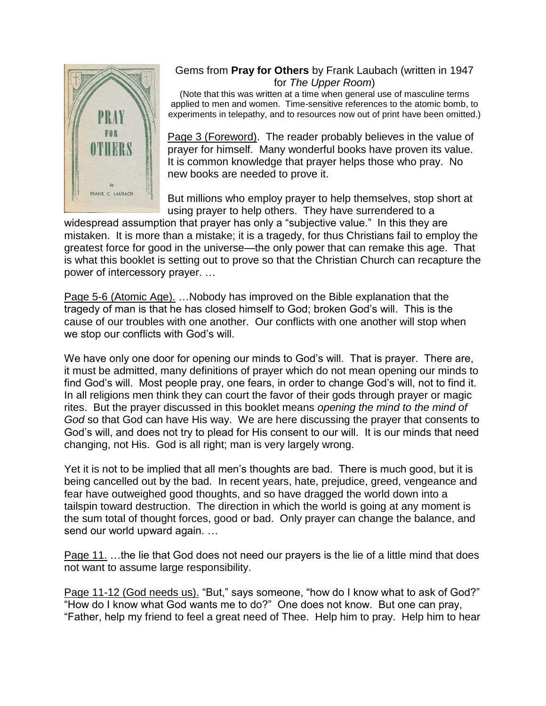

## Gems from **Pray for Others** by Frank Laubach (written in 1947 for *The Upper Room*)

(Note that this was written at a time when general use of masculine terms applied to men and women. Time-sensitive references to the atomic bomb, to experiments in telepathy, and to resources now out of print have been omitted.)

Page 3 (Foreword). The reader probably believes in the value of prayer for himself. Many wonderful books have proven its value. It is common knowledge that prayer helps those who pray. No new books are needed to prove it.

But millions who employ prayer to help themselves, stop short at using prayer to help others. They have surrendered to a

widespread assumption that prayer has only a "subjective value." In this they are mistaken. It is more than a mistake; it is a tragedy, for thus Christians fail to employ the greatest force for good in the universe—the only power that can remake this age. That is what this booklet is setting out to prove so that the Christian Church can recapture the power of intercessory prayer. …

Page 5-6 (Atomic Age). …Nobody has improved on the Bible explanation that the tragedy of man is that he has closed himself to God; broken God's will. This is the cause of our troubles with one another. Our conflicts with one another will stop when we stop our conflicts with God's will.

We have only one door for opening our minds to God's will. That is prayer. There are, it must be admitted, many definitions of prayer which do not mean opening our minds to find God's will. Most people pray, one fears, in order to change God's will, not to find it. In all religions men think they can court the favor of their gods through prayer or magic rites. But the prayer discussed in this booklet means *opening the mind to the mind of God* so that God can have His way. We are here discussing the prayer that consents to God's will, and does not try to plead for His consent to our will. It is our minds that need changing, not His. God is all right; man is very largely wrong.

Yet it is not to be implied that all men's thoughts are bad. There is much good, but it is being cancelled out by the bad. In recent years, hate, prejudice, greed, vengeance and fear have outweighed good thoughts, and so have dragged the world down into a tailspin toward destruction. The direction in which the world is going at any moment is the sum total of thought forces, good or bad. Only prayer can change the balance, and send our world upward again. …

Page 11. ... the lie that God does not need our prayers is the lie of a little mind that does not want to assume large responsibility.

Page 11-12 (God needs us). "But," says someone, "how do I know what to ask of God?" "How do I know what God wants me to do?" One does not know. But one can pray, "Father, help my friend to feel a great need of Thee. Help him to pray. Help him to hear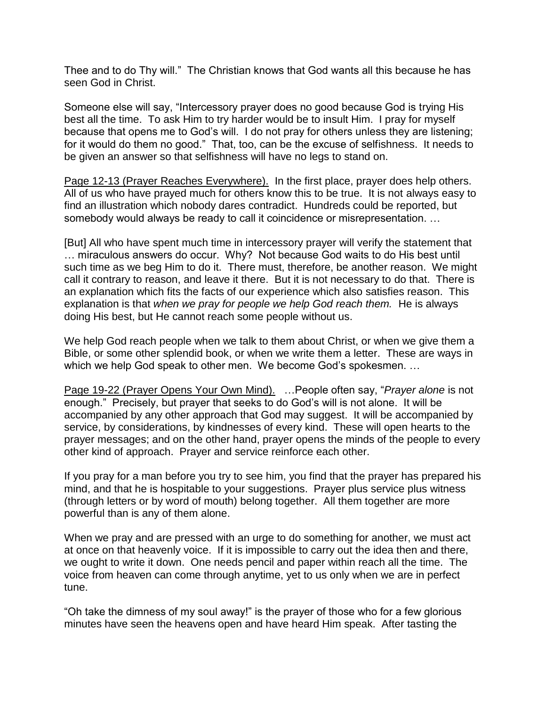Thee and to do Thy will." The Christian knows that God wants all this because he has seen God in Christ.

Someone else will say, "Intercessory prayer does no good because God is trying His best all the time. To ask Him to try harder would be to insult Him. I pray for myself because that opens me to God's will. I do not pray for others unless they are listening; for it would do them no good." That, too, can be the excuse of selfishness. It needs to be given an answer so that selfishness will have no legs to stand on.

Page 12-13 (Prayer Reaches Everywhere). In the first place, prayer does help others. All of us who have prayed much for others know this to be true. It is not always easy to find an illustration which nobody dares contradict. Hundreds could be reported, but somebody would always be ready to call it coincidence or misrepresentation. …

[But] All who have spent much time in intercessory prayer will verify the statement that … miraculous answers do occur. Why? Not because God waits to do His best until such time as we beg Him to do it. There must, therefore, be another reason. We might call it contrary to reason, and leave it there. But it is not necessary to do that. There is an explanation which fits the facts of our experience which also satisfies reason. This explanation is that *when we pray for people we help God reach them.* He is always doing His best, but He cannot reach some people without us.

We help God reach people when we talk to them about Christ, or when we give them a Bible, or some other splendid book, or when we write them a letter. These are ways in which we help God speak to other men. We become God's spokesmen. …

Page 19-22 (Prayer Opens Your Own Mind). …People often say, "*Prayer alone* is not enough." Precisely, but prayer that seeks to do God's will is not alone. It will be accompanied by any other approach that God may suggest. It will be accompanied by service, by considerations, by kindnesses of every kind. These will open hearts to the prayer messages; and on the other hand, prayer opens the minds of the people to every other kind of approach. Prayer and service reinforce each other.

If you pray for a man before you try to see him, you find that the prayer has prepared his mind, and that he is hospitable to your suggestions. Prayer plus service plus witness (through letters or by word of mouth) belong together. All them together are more powerful than is any of them alone.

When we pray and are pressed with an urge to do something for another, we must act at once on that heavenly voice. If it is impossible to carry out the idea then and there, we ought to write it down. One needs pencil and paper within reach all the time. The voice from heaven can come through anytime, yet to us only when we are in perfect tune.

"Oh take the dimness of my soul away!" is the prayer of those who for a few glorious minutes have seen the heavens open and have heard Him speak. After tasting the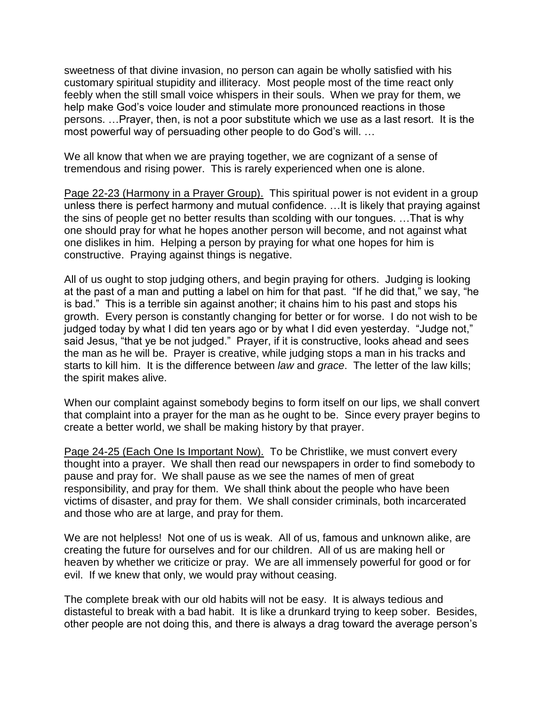sweetness of that divine invasion, no person can again be wholly satisfied with his customary spiritual stupidity and illiteracy. Most people most of the time react only feebly when the still small voice whispers in their souls. When we pray for them, we help make God's voice louder and stimulate more pronounced reactions in those persons. …Prayer, then, is not a poor substitute which we use as a last resort. It is the most powerful way of persuading other people to do God's will. …

We all know that when we are praying together, we are cognizant of a sense of tremendous and rising power. This is rarely experienced when one is alone.

Page 22-23 (Harmony in a Prayer Group). This spiritual power is not evident in a group unless there is perfect harmony and mutual confidence. …It is likely that praying against the sins of people get no better results than scolding with our tongues. …That is why one should pray for what he hopes another person will become, and not against what one dislikes in him. Helping a person by praying for what one hopes for him is constructive. Praying against things is negative.

All of us ought to stop judging others, and begin praying for others. Judging is looking at the past of a man and putting a label on him for that past. "If he did that," we say, "he is bad." This is a terrible sin against another; it chains him to his past and stops his growth. Every person is constantly changing for better or for worse. I do not wish to be judged today by what I did ten years ago or by what I did even yesterday. "Judge not," said Jesus, "that ye be not judged." Prayer, if it is constructive, looks ahead and sees the man as he will be. Prayer is creative, while judging stops a man in his tracks and starts to kill him. It is the difference between *law* and *grace*. The letter of the law kills; the spirit makes alive.

When our complaint against somebody begins to form itself on our lips, we shall convert that complaint into a prayer for the man as he ought to be. Since every prayer begins to create a better world, we shall be making history by that prayer.

Page 24-25 (Each One Is Important Now). To be Christlike, we must convert every thought into a prayer. We shall then read our newspapers in order to find somebody to pause and pray for. We shall pause as we see the names of men of great responsibility, and pray for them. We shall think about the people who have been victims of disaster, and pray for them. We shall consider criminals, both incarcerated and those who are at large, and pray for them.

We are not helpless! Not one of us is weak. All of us, famous and unknown alike, are creating the future for ourselves and for our children. All of us are making hell or heaven by whether we criticize or pray. We are all immensely powerful for good or for evil. If we knew that only, we would pray without ceasing.

The complete break with our old habits will not be easy. It is always tedious and distasteful to break with a bad habit. It is like a drunkard trying to keep sober. Besides, other people are not doing this, and there is always a drag toward the average person's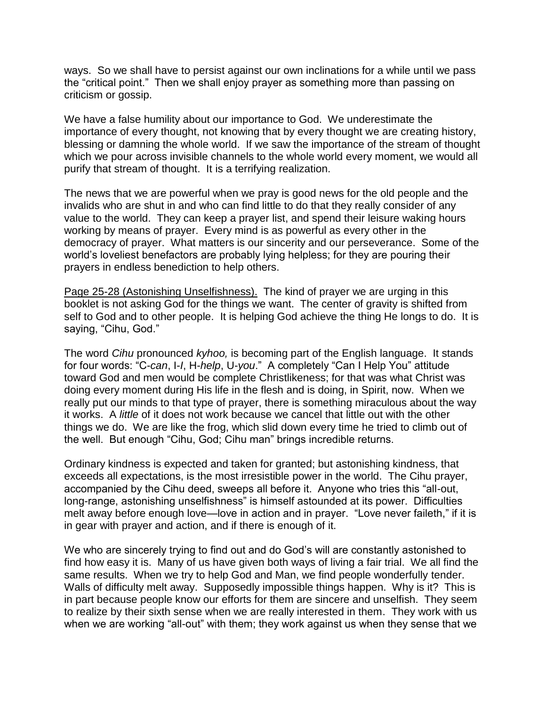ways. So we shall have to persist against our own inclinations for a while until we pass the "critical point." Then we shall enjoy prayer as something more than passing on criticism or gossip.

We have a false humility about our importance to God. We underestimate the importance of every thought, not knowing that by every thought we are creating history, blessing or damning the whole world. If we saw the importance of the stream of thought which we pour across invisible channels to the whole world every moment, we would all purify that stream of thought. It is a terrifying realization.

The news that we are powerful when we pray is good news for the old people and the invalids who are shut in and who can find little to do that they really consider of any value to the world. They can keep a prayer list, and spend their leisure waking hours working by means of prayer. Every mind is as powerful as every other in the democracy of prayer. What matters is our sincerity and our perseverance. Some of the world's loveliest benefactors are probably lying helpless; for they are pouring their prayers in endless benediction to help others.

Page 25-28 (Astonishing Unselfishness). The kind of prayer we are urging in this booklet is not asking God for the things we want. The center of gravity is shifted from self to God and to other people. It is helping God achieve the thing He longs to do. It is saying, "Cihu, God."

The word *Cihu* pronounced *kyhoo,* is becoming part of the English language. It stands for four words: "C-*can*, I-*I*, H-*help*, U-*you*." A completely "Can I Help You" attitude toward God and men would be complete Christlikeness; for that was what Christ was doing every moment during His life in the flesh and is doing, in Spirit, now. When we really put our minds to that type of prayer, there is something miraculous about the way it works. A *little* of it does not work because we cancel that little out with the other things we do. We are like the frog, which slid down every time he tried to climb out of the well. But enough "Cihu, God; Cihu man" brings incredible returns.

Ordinary kindness is expected and taken for granted; but astonishing kindness, that exceeds all expectations, is the most irresistible power in the world. The Cihu prayer, accompanied by the Cihu deed, sweeps all before it. Anyone who tries this "all-out, long-range, astonishing unselfishness" is himself astounded at its power. Difficulties melt away before enough love—love in action and in prayer. "Love never faileth," if it is in gear with prayer and action, and if there is enough of it.

We who are sincerely trying to find out and do God's will are constantly astonished to find how easy it is. Many of us have given both ways of living a fair trial. We all find the same results. When we try to help God and Man, we find people wonderfully tender. Walls of difficulty melt away. Supposedly impossible things happen. Why is it? This is in part because people know our efforts for them are sincere and unselfish. They seem to realize by their sixth sense when we are really interested in them. They work with us when we are working "all-out" with them; they work against us when they sense that we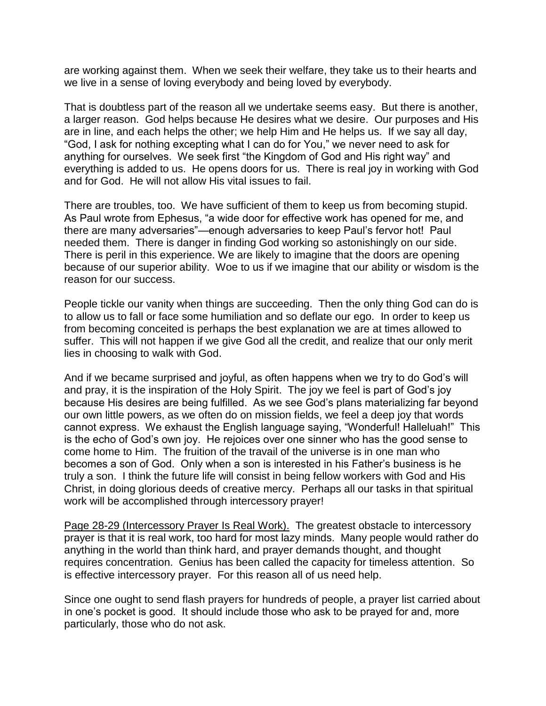are working against them. When we seek their welfare, they take us to their hearts and we live in a sense of loving everybody and being loved by everybody.

That is doubtless part of the reason all we undertake seems easy. But there is another, a larger reason. God helps because He desires what we desire. Our purposes and His are in line, and each helps the other; we help Him and He helps us. If we say all day, "God, I ask for nothing excepting what I can do for You," we never need to ask for anything for ourselves. We seek first "the Kingdom of God and His right way" and everything is added to us. He opens doors for us. There is real joy in working with God and for God. He will not allow His vital issues to fail.

There are troubles, too. We have sufficient of them to keep us from becoming stupid. As Paul wrote from Ephesus, "a wide door for effective work has opened for me, and there are many adversaries"—enough adversaries to keep Paul's fervor hot! Paul needed them. There is danger in finding God working so astonishingly on our side. There is peril in this experience. We are likely to imagine that the doors are opening because of our superior ability. Woe to us if we imagine that our ability or wisdom is the reason for our success.

People tickle our vanity when things are succeeding. Then the only thing God can do is to allow us to fall or face some humiliation and so deflate our ego. In order to keep us from becoming conceited is perhaps the best explanation we are at times allowed to suffer. This will not happen if we give God all the credit, and realize that our only merit lies in choosing to walk with God.

And if we became surprised and joyful, as often happens when we try to do God's will and pray, it is the inspiration of the Holy Spirit. The joy we feel is part of God's joy because His desires are being fulfilled. As we see God's plans materializing far beyond our own little powers, as we often do on mission fields, we feel a deep joy that words cannot express. We exhaust the English language saying, "Wonderful! Halleluah!" This is the echo of God's own joy. He rejoices over one sinner who has the good sense to come home to Him. The fruition of the travail of the universe is in one man who becomes a son of God. Only when a son is interested in his Father's business is he truly a son. I think the future life will consist in being fellow workers with God and His Christ, in doing glorious deeds of creative mercy. Perhaps all our tasks in that spiritual work will be accomplished through intercessory prayer!

Page 28-29 (Intercessory Prayer Is Real Work). The greatest obstacle to intercessory prayer is that it is real work, too hard for most lazy minds. Many people would rather do anything in the world than think hard, and prayer demands thought, and thought requires concentration. Genius has been called the capacity for timeless attention. So is effective intercessory prayer. For this reason all of us need help.

Since one ought to send flash prayers for hundreds of people, a prayer list carried about in one's pocket is good. It should include those who ask to be prayed for and, more particularly, those who do not ask.